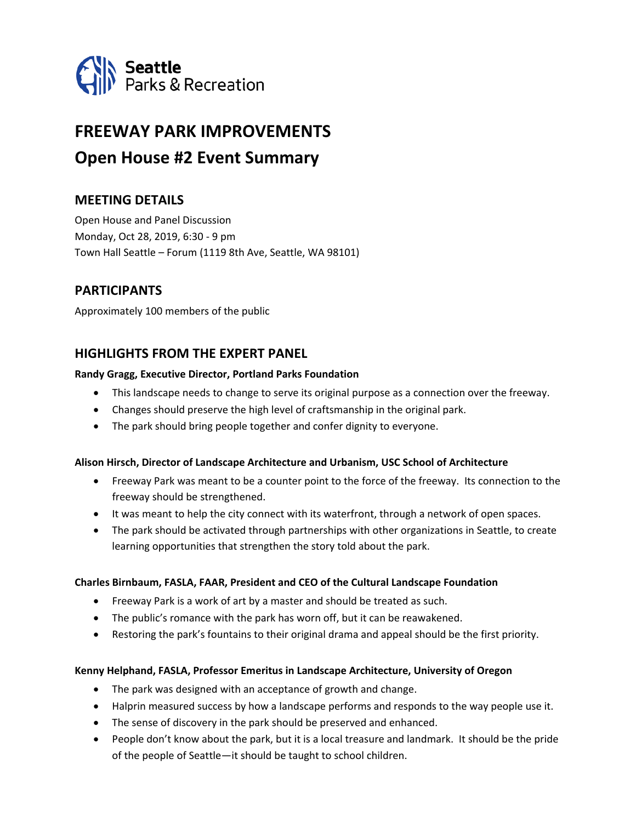

# **FREEWAY PARK IMPROVEMENTS Open House #2 Event Summary**

# **MEETING DETAILS**

Open House and Panel Discussion Monday, Oct 28, 2019, 6:30 - 9 pm Town Hall Seattle – Forum (1119 8th Ave, Seattle, WA 98101)

# **PARTICIPANTS**

Approximately 100 members of the public

# **HIGHLIGHTS FROM THE EXPERT PANEL**

#### **Randy Gragg, Executive Director, Portland Parks Foundation**

- This landscape needs to change to serve its original purpose as a connection over the freeway.
- Changes should preserve the high level of craftsmanship in the original park.
- The park should bring people together and confer dignity to everyone.

#### **Alison Hirsch, Director of Landscape Architecture and Urbanism, USC School of Architecture**

- Freeway Park was meant to be a counter point to the force of the freeway. Its connection to the freeway should be strengthened.
- It was meant to help the city connect with its waterfront, through a network of open spaces.
- The park should be activated through partnerships with other organizations in Seattle, to create learning opportunities that strengthen the story told about the park.

#### **Charles Birnbaum, FASLA, FAAR, President and CEO of the Cultural Landscape Foundation**

- Freeway Park is a work of art by a master and should be treated as such.
- The public's romance with the park has worn off, but it can be reawakened.
- Restoring the park's fountains to their original drama and appeal should be the first priority.

#### **Kenny Helphand, FASLA, Professor Emeritus in Landscape Architecture, University of Oregon**

- The park was designed with an acceptance of growth and change.
- Halprin measured success by how a landscape performs and responds to the way people use it.
- The sense of discovery in the park should be preserved and enhanced.
- People don't know about the park, but it is a local treasure and landmark. It should be the pride of the people of Seattle—it should be taught to school children.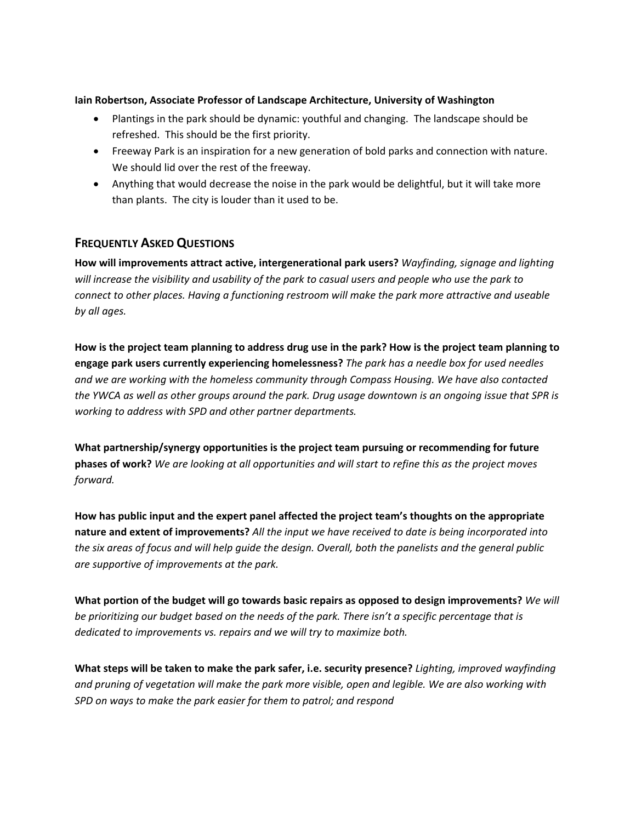#### **Iain Robertson, Associate Professor of Landscape Architecture, University of Washington**

- Plantings in the park should be dynamic: youthful and changing. The landscape should be refreshed. This should be the first priority.
- Freeway Park is an inspiration for a new generation of bold parks and connection with nature. We should lid over the rest of the freeway.
- Anything that would decrease the noise in the park would be delightful, but it will take more than plants. The city is louder than it used to be.

# **FREQUENTLY ASKED QUESTIONS**

**How will improvements attract active, intergenerational park users?** *Wayfinding, signage and lighting will increase the visibility and usability of the park to casual users and people who use the park to connect to other places. Having a functioning restroom will make the park more attractive and useable by all ages.*

**How is the project team planning to address drug use in the park? How is the project team planning to engage park users currently experiencing homelessness?** *The park has a needle box for used needles and we are working with the homeless community through Compass Housing. We have also contacted the YWCA as well as other groups around the park. Drug usage downtown is an ongoing issue that SPR is working to address with SPD and other partner departments.*

**What partnership/synergy opportunities is the project team pursuing or recommending for future phases of work?** *We are looking at all opportunities and will start to refine this as the project moves forward.*

**How has public input and the expert panel affected the project team's thoughts on the appropriate nature and extent of improvements?** *All the input we have received to date is being incorporated into the six areas of focus and will help guide the design. Overall, both the panelists and the general public are supportive of improvements at the park.*

**What portion of the budget will go towards basic repairs as opposed to design improvements?** *We will be prioritizing our budget based on the needs of the park. There isn't a specific percentage that is dedicated to improvements vs. repairs and we will try to maximize both.*

**What steps will be taken to make the park safer, i.e. security presence?** *Lighting, improved wayfinding and pruning of vegetation will make the park more visible, open and legible. We are also working with SPD on ways to make the park easier for them to patrol; and respond*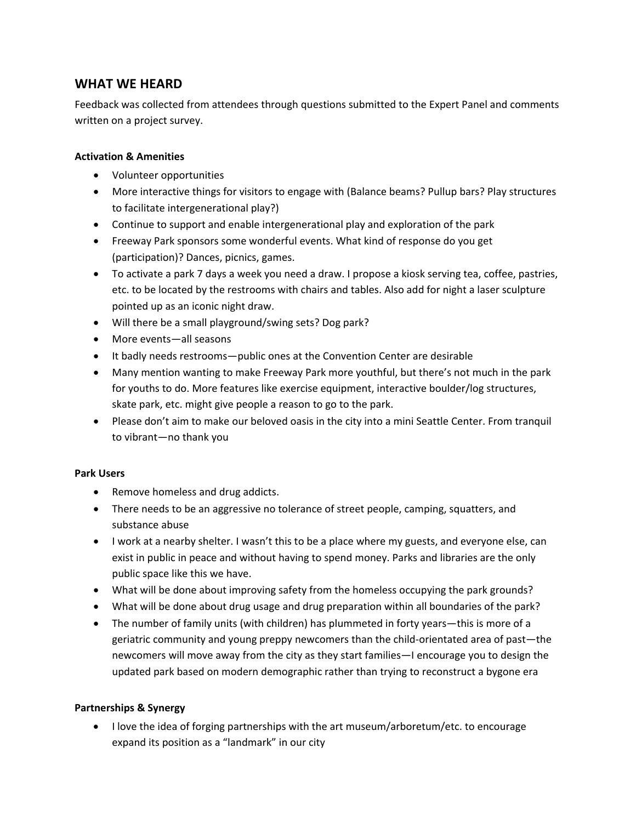# **WHAT WE HEARD**

Feedback was collected from attendees through questions submitted to the Expert Panel and comments written on a project survey.

#### **Activation & Amenities**

- Volunteer opportunities
- More interactive things for visitors to engage with (Balance beams? Pullup bars? Play structures to facilitate intergenerational play?)
- Continue to support and enable intergenerational play and exploration of the park
- Freeway Park sponsors some wonderful events. What kind of response do you get (participation)? Dances, picnics, games.
- To activate a park 7 days a week you need a draw. I propose a kiosk serving tea, coffee, pastries, etc. to be located by the restrooms with chairs and tables. Also add for night a laser sculpture pointed up as an iconic night draw.
- Will there be a small playground/swing sets? Dog park?
- More events—all seasons
- It badly needs restrooms—public ones at the Convention Center are desirable
- Many mention wanting to make Freeway Park more youthful, but there's not much in the park for youths to do. More features like exercise equipment, interactive boulder/log structures, skate park, etc. might give people a reason to go to the park.
- Please don't aim to make our beloved oasis in the city into a mini Seattle Center. From tranquil to vibrant—no thank you

#### **Park Users**

- Remove homeless and drug addicts.
- There needs to be an aggressive no tolerance of street people, camping, squatters, and substance abuse
- I work at a nearby shelter. I wasn't this to be a place where my guests, and everyone else, can exist in public in peace and without having to spend money. Parks and libraries are the only public space like this we have.
- What will be done about improving safety from the homeless occupying the park grounds?
- What will be done about drug usage and drug preparation within all boundaries of the park?
- The number of family units (with children) has plummeted in forty years—this is more of a geriatric community and young preppy newcomers than the child-orientated area of past—the newcomers will move away from the city as they start families—I encourage you to design the updated park based on modern demographic rather than trying to reconstruct a bygone era

## **Partnerships & Synergy**

• I love the idea of forging partnerships with the art museum/arboretum/etc. to encourage expand its position as a "landmark" in our city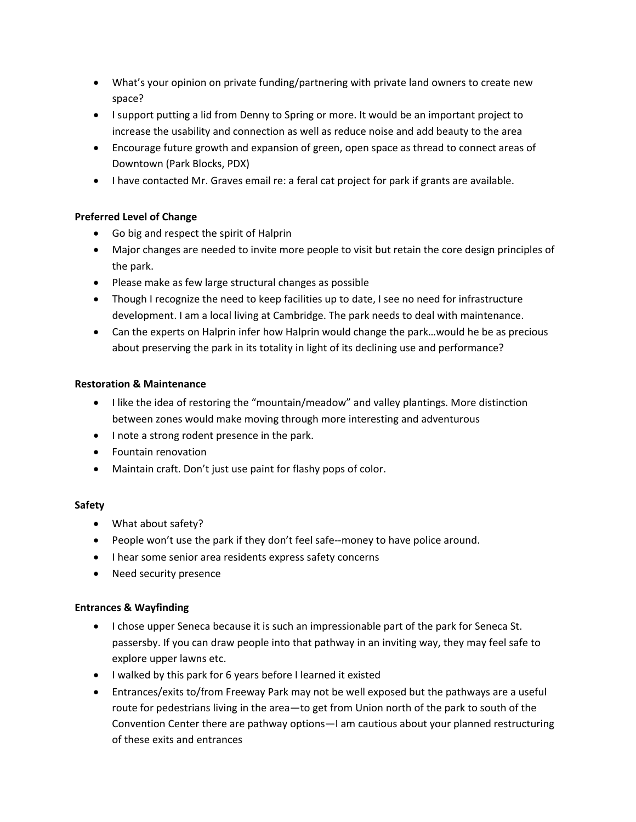- What's your opinion on private funding/partnering with private land owners to create new space?
- I support putting a lid from Denny to Spring or more. It would be an important project to increase the usability and connection as well as reduce noise and add beauty to the area
- Encourage future growth and expansion of green, open space as thread to connect areas of Downtown (Park Blocks, PDX)
- I have contacted Mr. Graves email re: a feral cat project for park if grants are available.

# **Preferred Level of Change**

- Go big and respect the spirit of Halprin
- Major changes are needed to invite more people to visit but retain the core design principles of the park.
- Please make as few large structural changes as possible
- Though I recognize the need to keep facilities up to date, I see no need for infrastructure development. I am a local living at Cambridge. The park needs to deal with maintenance.
- Can the experts on Halprin infer how Halprin would change the park...would he be as precious about preserving the park in its totality in light of its declining use and performance?

#### **Restoration & Maintenance**

- I like the idea of restoring the "mountain/meadow" and valley plantings. More distinction between zones would make moving through more interesting and adventurous
- I note a strong rodent presence in the park.
- Fountain renovation
- Maintain craft. Don't just use paint for flashy pops of color.

## **Safety**

- What about safety?
- People won't use the park if they don't feel safe--money to have police around.
- I hear some senior area residents express safety concerns
- Need security presence

## **Entrances & Wayfinding**

- I chose upper Seneca because it is such an impressionable part of the park for Seneca St. passersby. If you can draw people into that pathway in an inviting way, they may feel safe to explore upper lawns etc.
- I walked by this park for 6 years before I learned it existed
- Entrances/exits to/from Freeway Park may not be well exposed but the pathways are a useful route for pedestrians living in the area—to get from Union north of the park to south of the Convention Center there are pathway options—I am cautious about your planned restructuring of these exits and entrances